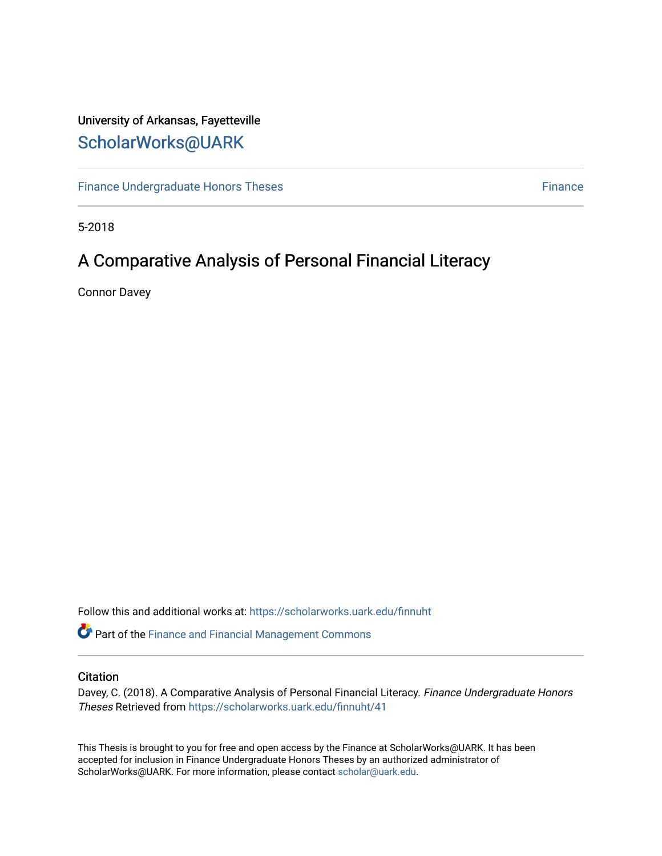## University of Arkansas, Fayetteville [ScholarWorks@UARK](https://scholarworks.uark.edu/)

[Finance Undergraduate Honors Theses](https://scholarworks.uark.edu/finnuht) [Finance](https://scholarworks.uark.edu/finn) Finance Finance

5-2018

# A Comparative Analysis of Personal Financial Literacy

Connor Davey

Follow this and additional works at: [https://scholarworks.uark.edu/finnuht](https://scholarworks.uark.edu/finnuht?utm_source=scholarworks.uark.edu%2Ffinnuht%2F41&utm_medium=PDF&utm_campaign=PDFCoverPages)

Part of the [Finance and Financial Management Commons](http://network.bepress.com/hgg/discipline/631?utm_source=scholarworks.uark.edu%2Ffinnuht%2F41&utm_medium=PDF&utm_campaign=PDFCoverPages) 

#### **Citation**

Davey, C. (2018). A Comparative Analysis of Personal Financial Literacy. Finance Undergraduate Honors Theses Retrieved from [https://scholarworks.uark.edu/finnuht/41](https://scholarworks.uark.edu/finnuht/41?utm_source=scholarworks.uark.edu%2Ffinnuht%2F41&utm_medium=PDF&utm_campaign=PDFCoverPages) 

This Thesis is brought to you for free and open access by the Finance at ScholarWorks@UARK. It has been accepted for inclusion in Finance Undergraduate Honors Theses by an authorized administrator of ScholarWorks@UARK. For more information, please contact [scholar@uark.edu](mailto:scholar@uark.edu).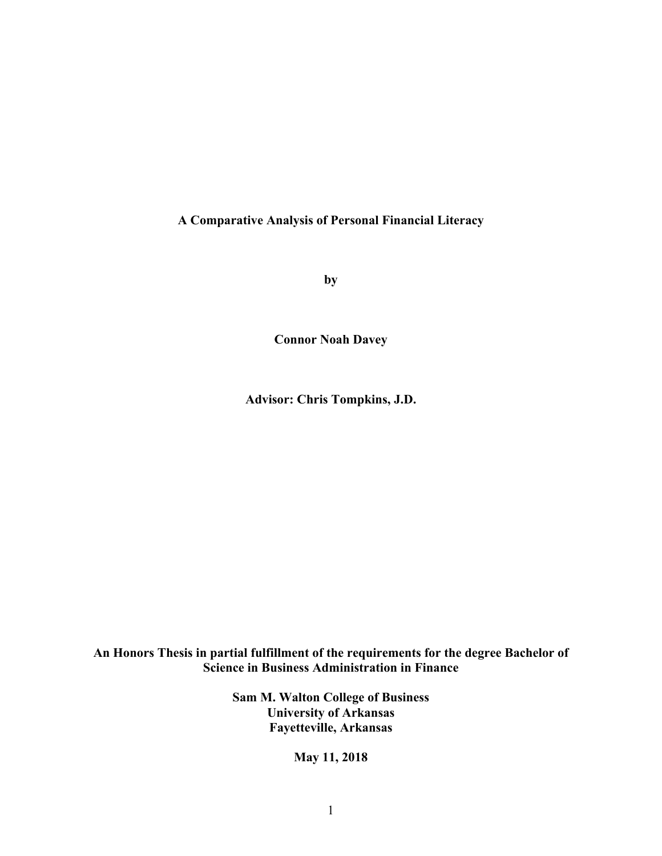**A Comparative Analysis of Personal Financial Literacy**

**by**

**Connor Noah Davey**

**Advisor: Chris Tompkins, J.D.**

**An Honors Thesis in partial fulfillment of the requirements for the degree Bachelor of Science in Business Administration in Finance**

> **Sam M. Walton College of Business University of Arkansas Fayetteville, Arkansas**

> > **May 11, 2018**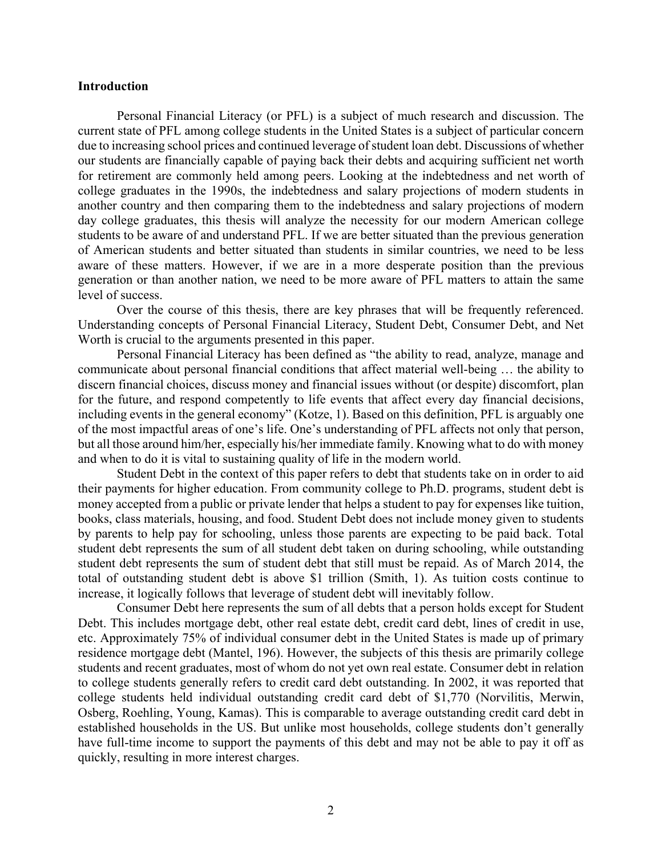#### **Introduction**

Personal Financial Literacy (or PFL) is a subject of much research and discussion. The current state of PFL among college students in the United States is a subject of particular concern due to increasing school prices and continued leverage of student loan debt. Discussions of whether our students are financially capable of paying back their debts and acquiring sufficient net worth for retirement are commonly held among peers. Looking at the indebtedness and net worth of college graduates in the 1990s, the indebtedness and salary projections of modern students in another country and then comparing them to the indebtedness and salary projections of modern day college graduates, this thesis will analyze the necessity for our modern American college students to be aware of and understand PFL. If we are better situated than the previous generation of American students and better situated than students in similar countries, we need to be less aware of these matters. However, if we are in a more desperate position than the previous generation or than another nation, we need to be more aware of PFL matters to attain the same level of success.

Over the course of this thesis, there are key phrases that will be frequently referenced. Understanding concepts of Personal Financial Literacy, Student Debt, Consumer Debt, and Net Worth is crucial to the arguments presented in this paper.

Personal Financial Literacy has been defined as "the ability to read, analyze, manage and communicate about personal financial conditions that affect material well-being … the ability to discern financial choices, discuss money and financial issues without (or despite) discomfort, plan for the future, and respond competently to life events that affect every day financial decisions, including events in the general economy" (Kotze, 1). Based on this definition, PFL is arguably one of the most impactful areas of one's life. One's understanding of PFL affects not only that person, but all those around him/her, especially his/her immediate family. Knowing what to do with money and when to do it is vital to sustaining quality of life in the modern world.

Student Debt in the context of this paper refers to debt that students take on in order to aid their payments for higher education. From community college to Ph.D. programs, student debt is money accepted from a public or private lender that helps a student to pay for expenses like tuition, books, class materials, housing, and food. Student Debt does not include money given to students by parents to help pay for schooling, unless those parents are expecting to be paid back. Total student debt represents the sum of all student debt taken on during schooling, while outstanding student debt represents the sum of student debt that still must be repaid. As of March 2014, the total of outstanding student debt is above \$1 trillion (Smith, 1). As tuition costs continue to increase, it logically follows that leverage of student debt will inevitably follow.

Consumer Debt here represents the sum of all debts that a person holds except for Student Debt. This includes mortgage debt, other real estate debt, credit card debt, lines of credit in use, etc. Approximately 75% of individual consumer debt in the United States is made up of primary residence mortgage debt (Mantel, 196). However, the subjects of this thesis are primarily college students and recent graduates, most of whom do not yet own real estate. Consumer debt in relation to college students generally refers to credit card debt outstanding. In 2002, it was reported that college students held individual outstanding credit card debt of \$1,770 (Norvilitis, Merwin, Osberg, Roehling, Young, Kamas). This is comparable to average outstanding credit card debt in established households in the US. But unlike most households, college students don't generally have full-time income to support the payments of this debt and may not be able to pay it off as quickly, resulting in more interest charges.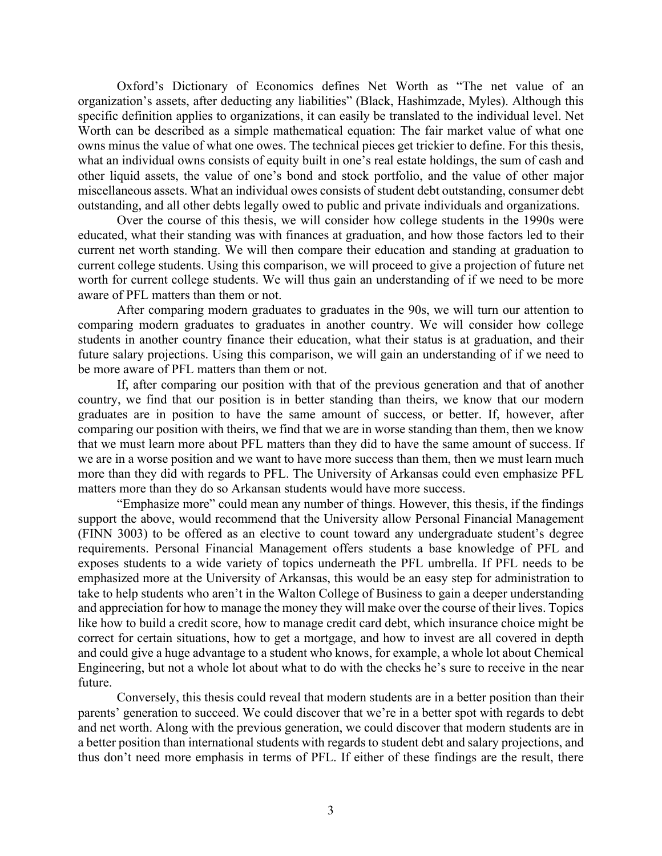Oxford's Dictionary of Economics defines Net Worth as "The net value of an organization's assets, after deducting any liabilities" (Black, Hashimzade, Myles). Although this specific definition applies to organizations, it can easily be translated to the individual level. Net Worth can be described as a simple mathematical equation: The fair market value of what one owns minus the value of what one owes. The technical pieces get trickier to define. For this thesis, what an individual owns consists of equity built in one's real estate holdings, the sum of cash and other liquid assets, the value of one's bond and stock portfolio, and the value of other major miscellaneous assets. What an individual owes consists of student debt outstanding, consumer debt outstanding, and all other debts legally owed to public and private individuals and organizations.

Over the course of this thesis, we will consider how college students in the 1990s were educated, what their standing was with finances at graduation, and how those factors led to their current net worth standing. We will then compare their education and standing at graduation to current college students. Using this comparison, we will proceed to give a projection of future net worth for current college students. We will thus gain an understanding of if we need to be more aware of PFL matters than them or not.

After comparing modern graduates to graduates in the 90s, we will turn our attention to comparing modern graduates to graduates in another country. We will consider how college students in another country finance their education, what their status is at graduation, and their future salary projections. Using this comparison, we will gain an understanding of if we need to be more aware of PFL matters than them or not.

If, after comparing our position with that of the previous generation and that of another country, we find that our position is in better standing than theirs, we know that our modern graduates are in position to have the same amount of success, or better. If, however, after comparing our position with theirs, we find that we are in worse standing than them, then we know that we must learn more about PFL matters than they did to have the same amount of success. If we are in a worse position and we want to have more success than them, then we must learn much more than they did with regards to PFL. The University of Arkansas could even emphasize PFL matters more than they do so Arkansan students would have more success.

"Emphasize more" could mean any number of things. However, this thesis, if the findings support the above, would recommend that the University allow Personal Financial Management (FINN 3003) to be offered as an elective to count toward any undergraduate student's degree requirements. Personal Financial Management offers students a base knowledge of PFL and exposes students to a wide variety of topics underneath the PFL umbrella. If PFL needs to be emphasized more at the University of Arkansas, this would be an easy step for administration to take to help students who aren't in the Walton College of Business to gain a deeper understanding and appreciation for how to manage the money they will make over the course of their lives. Topics like how to build a credit score, how to manage credit card debt, which insurance choice might be correct for certain situations, how to get a mortgage, and how to invest are all covered in depth and could give a huge advantage to a student who knows, for example, a whole lot about Chemical Engineering, but not a whole lot about what to do with the checks he's sure to receive in the near future.

Conversely, this thesis could reveal that modern students are in a better position than their parents' generation to succeed. We could discover that we're in a better spot with regards to debt and net worth. Along with the previous generation, we could discover that modern students are in a better position than international students with regards to student debt and salary projections, and thus don't need more emphasis in terms of PFL. If either of these findings are the result, there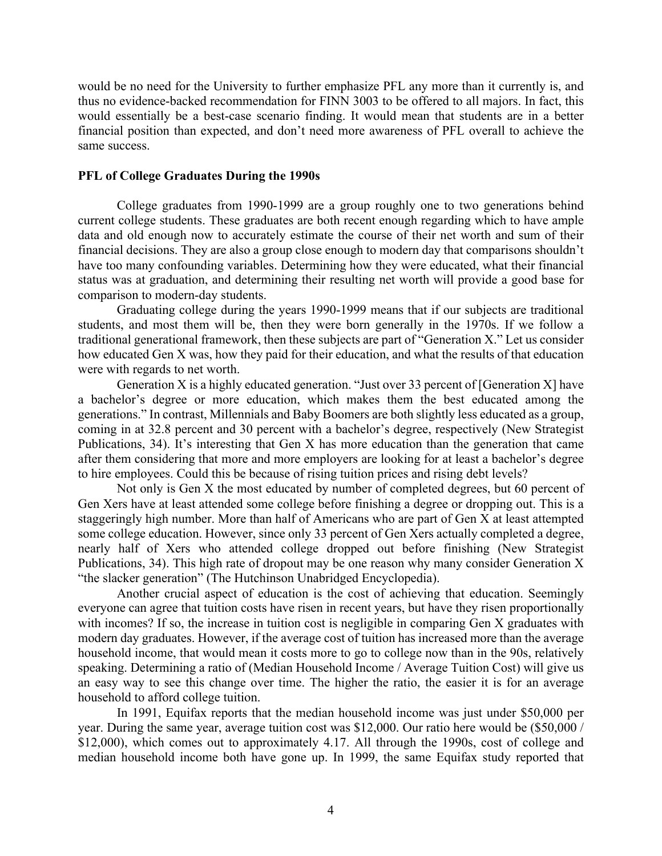would be no need for the University to further emphasize PFL any more than it currently is, and thus no evidence-backed recommendation for FINN 3003 to be offered to all majors. In fact, this would essentially be a best-case scenario finding. It would mean that students are in a better financial position than expected, and don't need more awareness of PFL overall to achieve the same success.

#### **PFL of College Graduates During the 1990s**

College graduates from 1990-1999 are a group roughly one to two generations behind current college students. These graduates are both recent enough regarding which to have ample data and old enough now to accurately estimate the course of their net worth and sum of their financial decisions. They are also a group close enough to modern day that comparisons shouldn't have too many confounding variables. Determining how they were educated, what their financial status was at graduation, and determining their resulting net worth will provide a good base for comparison to modern-day students.

Graduating college during the years 1990-1999 means that if our subjects are traditional students, and most them will be, then they were born generally in the 1970s. If we follow a traditional generational framework, then these subjects are part of "Generation X." Let us consider how educated Gen X was, how they paid for their education, and what the results of that education were with regards to net worth.

Generation X is a highly educated generation. "Just over 33 percent of [Generation X] have a bachelor's degree or more education, which makes them the best educated among the generations." In contrast, Millennials and Baby Boomers are both slightly less educated as a group, coming in at 32.8 percent and 30 percent with a bachelor's degree, respectively (New Strategist Publications, 34). It's interesting that Gen X has more education than the generation that came after them considering that more and more employers are looking for at least a bachelor's degree to hire employees. Could this be because of rising tuition prices and rising debt levels?

Not only is Gen X the most educated by number of completed degrees, but 60 percent of Gen Xers have at least attended some college before finishing a degree or dropping out. This is a staggeringly high number. More than half of Americans who are part of Gen X at least attempted some college education. However, since only 33 percent of Gen Xers actually completed a degree, nearly half of Xers who attended college dropped out before finishing (New Strategist Publications, 34). This high rate of dropout may be one reason why many consider Generation X "the slacker generation" (The Hutchinson Unabridged Encyclopedia).

Another crucial aspect of education is the cost of achieving that education. Seemingly everyone can agree that tuition costs have risen in recent years, but have they risen proportionally with incomes? If so, the increase in tuition cost is negligible in comparing Gen X graduates with modern day graduates. However, if the average cost of tuition has increased more than the average household income, that would mean it costs more to go to college now than in the 90s, relatively speaking. Determining a ratio of (Median Household Income / Average Tuition Cost) will give us an easy way to see this change over time. The higher the ratio, the easier it is for an average household to afford college tuition.

In 1991, Equifax reports that the median household income was just under \$50,000 per year. During the same year, average tuition cost was \$12,000. Our ratio here would be (\$50,000 / \$12,000), which comes out to approximately 4.17. All through the 1990s, cost of college and median household income both have gone up. In 1999, the same Equifax study reported that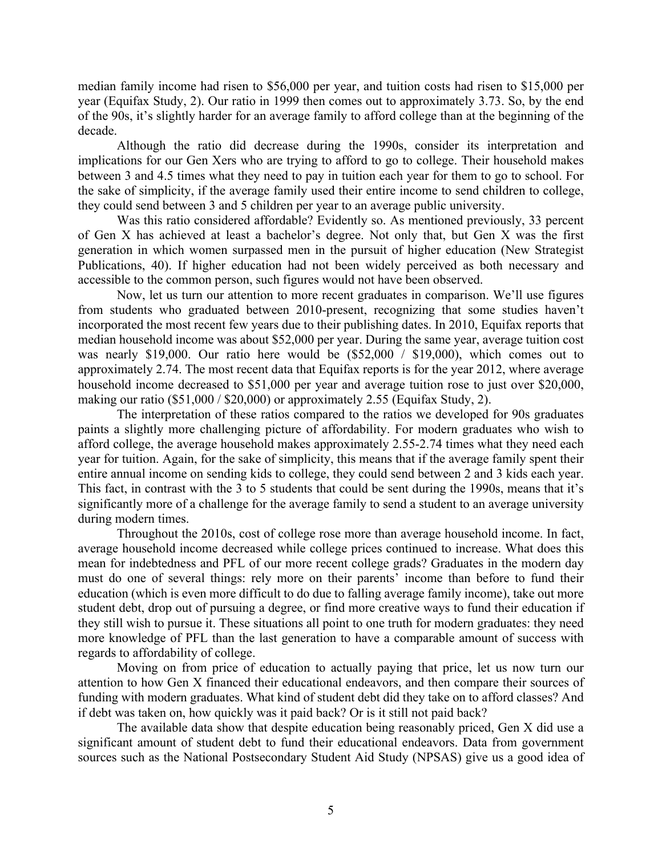median family income had risen to \$56,000 per year, and tuition costs had risen to \$15,000 per year (Equifax Study, 2). Our ratio in 1999 then comes out to approximately 3.73. So, by the end of the 90s, it's slightly harder for an average family to afford college than at the beginning of the decade.

Although the ratio did decrease during the 1990s, consider its interpretation and implications for our Gen Xers who are trying to afford to go to college. Their household makes between 3 and 4.5 times what they need to pay in tuition each year for them to go to school. For the sake of simplicity, if the average family used their entire income to send children to college, they could send between 3 and 5 children per year to an average public university.

Was this ratio considered affordable? Evidently so. As mentioned previously, 33 percent of Gen X has achieved at least a bachelor's degree. Not only that, but Gen X was the first generation in which women surpassed men in the pursuit of higher education (New Strategist Publications, 40). If higher education had not been widely perceived as both necessary and accessible to the common person, such figures would not have been observed.

Now, let us turn our attention to more recent graduates in comparison. We'll use figures from students who graduated between 2010-present, recognizing that some studies haven't incorporated the most recent few years due to their publishing dates. In 2010, Equifax reports that median household income was about \$52,000 per year. During the same year, average tuition cost was nearly \$19,000. Our ratio here would be (\$52,000 / \$19,000), which comes out to approximately 2.74. The most recent data that Equifax reports is for the year 2012, where average household income decreased to \$51,000 per year and average tuition rose to just over \$20,000, making our ratio (\$51,000 / \$20,000) or approximately 2.55 (Equifax Study, 2).

The interpretation of these ratios compared to the ratios we developed for 90s graduates paints a slightly more challenging picture of affordability. For modern graduates who wish to afford college, the average household makes approximately 2.55-2.74 times what they need each year for tuition. Again, for the sake of simplicity, this means that if the average family spent their entire annual income on sending kids to college, they could send between 2 and 3 kids each year. This fact, in contrast with the 3 to 5 students that could be sent during the 1990s, means that it's significantly more of a challenge for the average family to send a student to an average university during modern times.

Throughout the 2010s, cost of college rose more than average household income. In fact, average household income decreased while college prices continued to increase. What does this mean for indebtedness and PFL of our more recent college grads? Graduates in the modern day must do one of several things: rely more on their parents' income than before to fund their education (which is even more difficult to do due to falling average family income), take out more student debt, drop out of pursuing a degree, or find more creative ways to fund their education if they still wish to pursue it. These situations all point to one truth for modern graduates: they need more knowledge of PFL than the last generation to have a comparable amount of success with regards to affordability of college.

Moving on from price of education to actually paying that price, let us now turn our attention to how Gen X financed their educational endeavors, and then compare their sources of funding with modern graduates. What kind of student debt did they take on to afford classes? And if debt was taken on, how quickly was it paid back? Or is it still not paid back?

The available data show that despite education being reasonably priced, Gen X did use a significant amount of student debt to fund their educational endeavors. Data from government sources such as the National Postsecondary Student Aid Study (NPSAS) give us a good idea of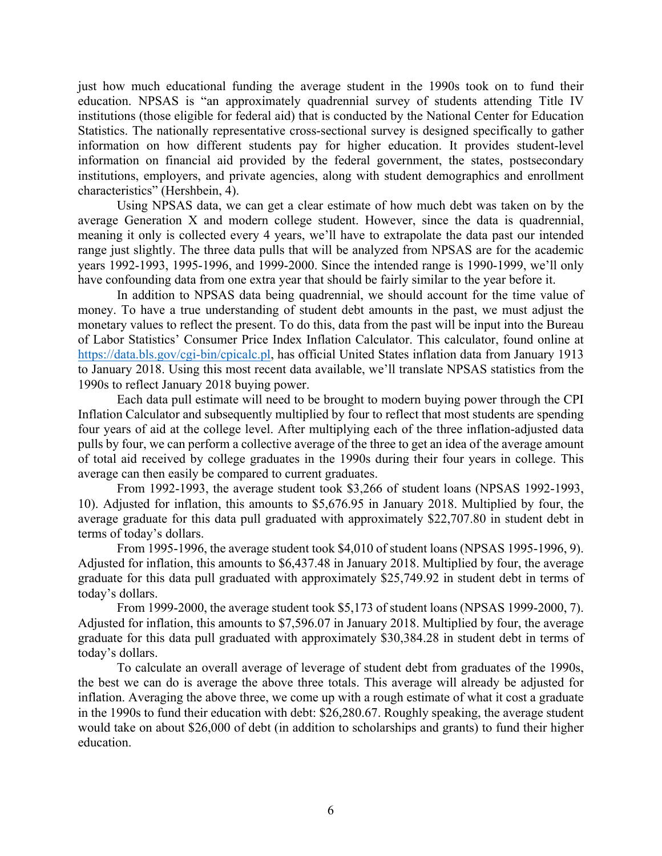just how much educational funding the average student in the 1990s took on to fund their education. NPSAS is "an approximately quadrennial survey of students attending Title IV institutions (those eligible for federal aid) that is conducted by the National Center for Education Statistics. The nationally representative cross-sectional survey is designed specifically to gather information on how different students pay for higher education. It provides student-level information on financial aid provided by the federal government, the states, postsecondary institutions, employers, and private agencies, along with student demographics and enrollment characteristics" (Hershbein, 4).

Using NPSAS data, we can get a clear estimate of how much debt was taken on by the average Generation X and modern college student. However, since the data is quadrennial, meaning it only is collected every 4 years, we'll have to extrapolate the data past our intended range just slightly. The three data pulls that will be analyzed from NPSAS are for the academic years 1992-1993, 1995-1996, and 1999-2000. Since the intended range is 1990-1999, we'll only have confounding data from one extra year that should be fairly similar to the year before it.

In addition to NPSAS data being quadrennial, we should account for the time value of money. To have a true understanding of student debt amounts in the past, we must adjust the monetary values to reflect the present. To do this, data from the past will be input into the Bureau of Labor Statistics' Consumer Price Index Inflation Calculator. This calculator, found online at https://data.bls.gov/cgi-bin/cpicalc.pl, has official United States inflation data from January 1913 to January 2018. Using this most recent data available, we'll translate NPSAS statistics from the 1990s to reflect January 2018 buying power.

Each data pull estimate will need to be brought to modern buying power through the CPI Inflation Calculator and subsequently multiplied by four to reflect that most students are spending four years of aid at the college level. After multiplying each of the three inflation-adjusted data pulls by four, we can perform a collective average of the three to get an idea of the average amount of total aid received by college graduates in the 1990s during their four years in college. This average can then easily be compared to current graduates.

From 1992-1993, the average student took \$3,266 of student loans (NPSAS 1992-1993, 10). Adjusted for inflation, this amounts to \$5,676.95 in January 2018. Multiplied by four, the average graduate for this data pull graduated with approximately \$22,707.80 in student debt in terms of today's dollars.

From 1995-1996, the average student took \$4,010 of student loans (NPSAS 1995-1996, 9). Adjusted for inflation, this amounts to \$6,437.48 in January 2018. Multiplied by four, the average graduate for this data pull graduated with approximately \$25,749.92 in student debt in terms of today's dollars.

From 1999-2000, the average student took \$5,173 of student loans (NPSAS 1999-2000, 7). Adjusted for inflation, this amounts to \$7,596.07 in January 2018. Multiplied by four, the average graduate for this data pull graduated with approximately \$30,384.28 in student debt in terms of today's dollars.

To calculate an overall average of leverage of student debt from graduates of the 1990s, the best we can do is average the above three totals. This average will already be adjusted for inflation. Averaging the above three, we come up with a rough estimate of what it cost a graduate in the 1990s to fund their education with debt: \$26,280.67. Roughly speaking, the average student would take on about \$26,000 of debt (in addition to scholarships and grants) to fund their higher education.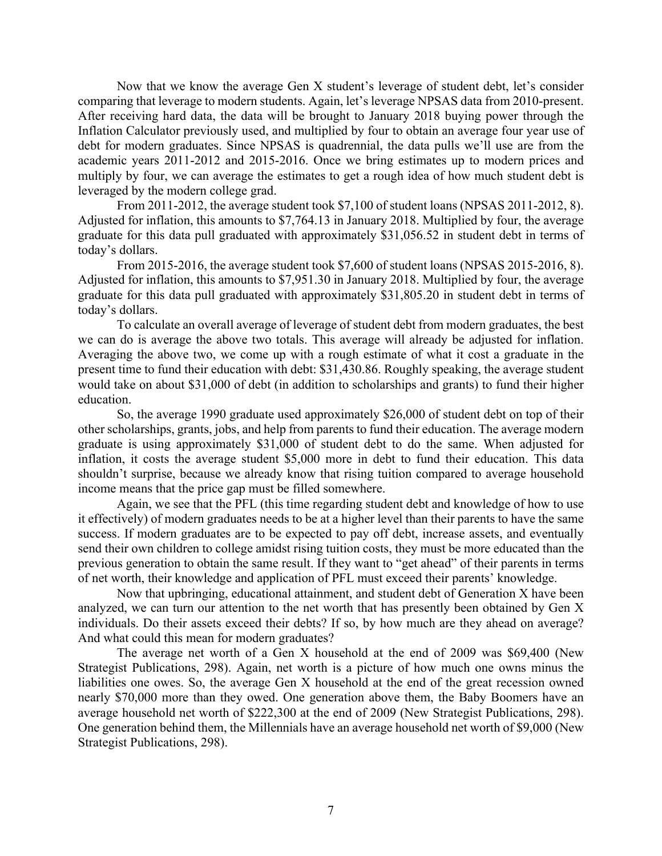Now that we know the average Gen X student's leverage of student debt, let's consider comparing that leverage to modern students. Again, let's leverage NPSAS data from 2010-present. After receiving hard data, the data will be brought to January 2018 buying power through the Inflation Calculator previously used, and multiplied by four to obtain an average four year use of debt for modern graduates. Since NPSAS is quadrennial, the data pulls we'll use are from the academic years 2011-2012 and 2015-2016. Once we bring estimates up to modern prices and multiply by four, we can average the estimates to get a rough idea of how much student debt is leveraged by the modern college grad.

From 2011-2012, the average student took \$7,100 of student loans (NPSAS 2011-2012, 8). Adjusted for inflation, this amounts to \$7,764.13 in January 2018. Multiplied by four, the average graduate for this data pull graduated with approximately \$31,056.52 in student debt in terms of today's dollars.

From 2015-2016, the average student took \$7,600 of student loans (NPSAS 2015-2016, 8). Adjusted for inflation, this amounts to \$7,951.30 in January 2018. Multiplied by four, the average graduate for this data pull graduated with approximately \$31,805.20 in student debt in terms of today's dollars.

To calculate an overall average of leverage of student debt from modern graduates, the best we can do is average the above two totals. This average will already be adjusted for inflation. Averaging the above two, we come up with a rough estimate of what it cost a graduate in the present time to fund their education with debt: \$31,430.86. Roughly speaking, the average student would take on about \$31,000 of debt (in addition to scholarships and grants) to fund their higher education.

So, the average 1990 graduate used approximately \$26,000 of student debt on top of their other scholarships, grants, jobs, and help from parents to fund their education. The average modern graduate is using approximately \$31,000 of student debt to do the same. When adjusted for inflation, it costs the average student \$5,000 more in debt to fund their education. This data shouldn't surprise, because we already know that rising tuition compared to average household income means that the price gap must be filled somewhere.

Again, we see that the PFL (this time regarding student debt and knowledge of how to use it effectively) of modern graduates needs to be at a higher level than their parents to have the same success. If modern graduates are to be expected to pay off debt, increase assets, and eventually send their own children to college amidst rising tuition costs, they must be more educated than the previous generation to obtain the same result. If they want to "get ahead" of their parents in terms of net worth, their knowledge and application of PFL must exceed their parents' knowledge.

Now that upbringing, educational attainment, and student debt of Generation X have been analyzed, we can turn our attention to the net worth that has presently been obtained by Gen X individuals. Do their assets exceed their debts? If so, by how much are they ahead on average? And what could this mean for modern graduates?

The average net worth of a Gen X household at the end of 2009 was \$69,400 (New Strategist Publications, 298). Again, net worth is a picture of how much one owns minus the liabilities one owes. So, the average Gen X household at the end of the great recession owned nearly \$70,000 more than they owed. One generation above them, the Baby Boomers have an average household net worth of \$222,300 at the end of 2009 (New Strategist Publications, 298). One generation behind them, the Millennials have an average household net worth of \$9,000 (New Strategist Publications, 298).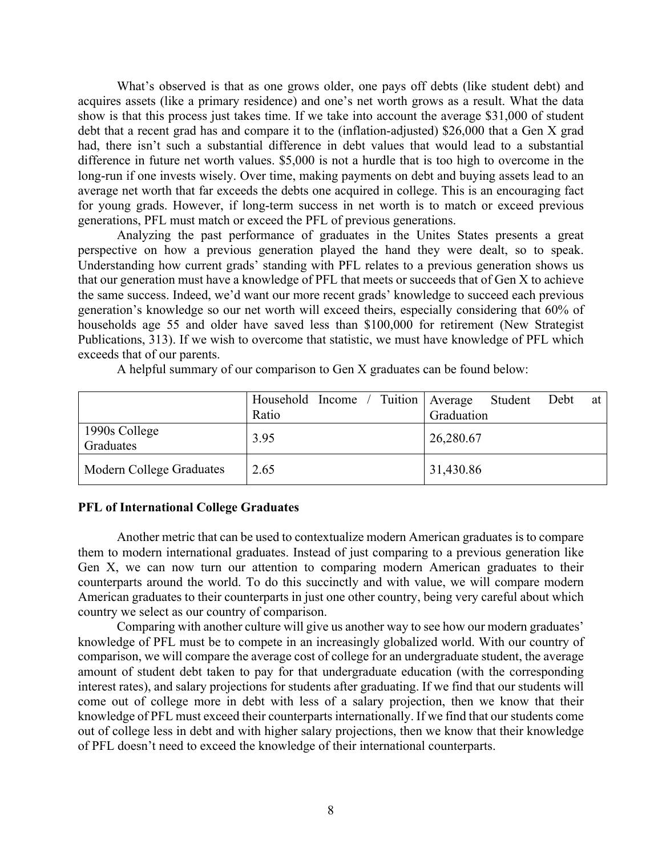What's observed is that as one grows older, one pays off debts (like student debt) and acquires assets (like a primary residence) and one's net worth grows as a result. What the data show is that this process just takes time. If we take into account the average \$31,000 of student debt that a recent grad has and compare it to the (inflation-adjusted) \$26,000 that a Gen X grad had, there isn't such a substantial difference in debt values that would lead to a substantial difference in future net worth values. \$5,000 is not a hurdle that is too high to overcome in the long-run if one invests wisely. Over time, making payments on debt and buying assets lead to an average net worth that far exceeds the debts one acquired in college. This is an encouraging fact for young grads. However, if long-term success in net worth is to match or exceed previous generations, PFL must match or exceed the PFL of previous generations.

Analyzing the past performance of graduates in the Unites States presents a great perspective on how a previous generation played the hand they were dealt, so to speak. Understanding how current grads' standing with PFL relates to a previous generation shows us that our generation must have a knowledge of PFL that meets or succeeds that of Gen X to achieve the same success. Indeed, we'd want our more recent grads' knowledge to succeed each previous generation's knowledge so our net worth will exceed theirs, especially considering that 60% of households age 55 and older have saved less than \$100,000 for retirement (New Strategist Publications, 313). If we wish to overcome that statistic, we must have knowledge of PFL which exceeds that of our parents.

A helpful summary of our comparison to Gen X graduates can be found below:

|                            | Household Income / Tuition   Average<br>Ratio | Student Debt<br>at<br>Graduation |
|----------------------------|-----------------------------------------------|----------------------------------|
| 1990s College<br>Graduates | 3.95                                          | 26,280.67                        |
| Modern College Graduates   | 2.65                                          | 31,430.86                        |

### **PFL of International College Graduates**

Another metric that can be used to contextualize modern American graduates is to compare them to modern international graduates. Instead of just comparing to a previous generation like Gen X, we can now turn our attention to comparing modern American graduates to their counterparts around the world. To do this succinctly and with value, we will compare modern American graduates to their counterparts in just one other country, being very careful about which country we select as our country of comparison.

Comparing with another culture will give us another way to see how our modern graduates' knowledge of PFL must be to compete in an increasingly globalized world. With our country of comparison, we will compare the average cost of college for an undergraduate student, the average amount of student debt taken to pay for that undergraduate education (with the corresponding interest rates), and salary projections for students after graduating. If we find that our students will come out of college more in debt with less of a salary projection, then we know that their knowledge of PFL must exceed their counterparts internationally. If we find that our students come out of college less in debt and with higher salary projections, then we know that their knowledge of PFL doesn't need to exceed the knowledge of their international counterparts.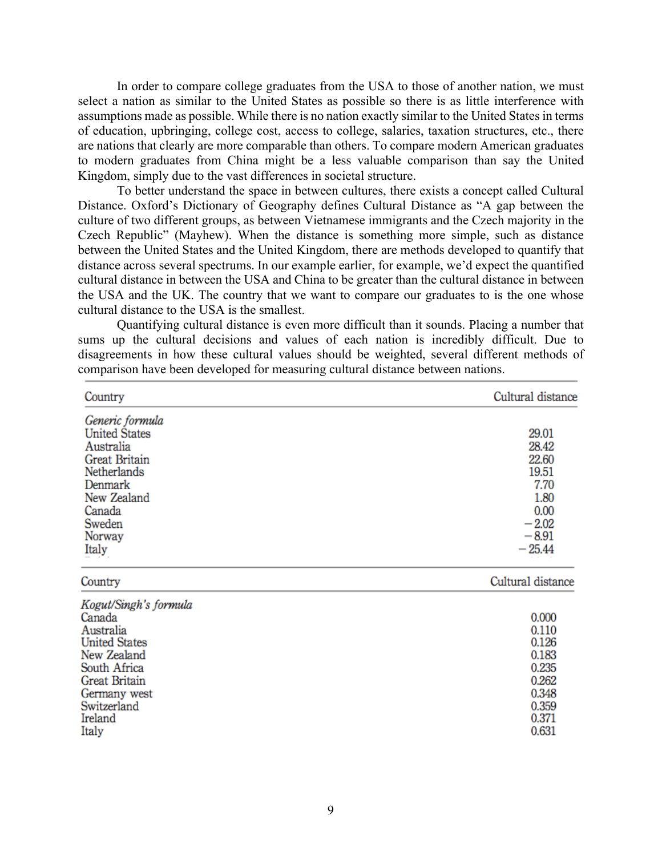In order to compare college graduates from the USA to those of another nation, we must select a nation as similar to the United States as possible so there is as little interference with assumptions made as possible. While there is no nation exactly similar to the United States in terms of education, upbringing, college cost, access to college, salaries, taxation structures, etc., there are nations that clearly are more comparable than others. To compare modern American graduates to modern graduates from China might be a less valuable comparison than say the United Kingdom, simply due to the vast differences in societal structure.

To better understand the space in between cultures, there exists a concept called Cultural Distance. Oxford's Dictionary of Geography defines Cultural Distance as "A gap between the culture of two different groups, as between Vietnamese immigrants and the Czech majority in the Czech Republic" (Mayhew). When the distance is something more simple, such as distance between the United States and the United Kingdom, there are methods developed to quantify that distance across several spectrums. In our example earlier, for example, we'd expect the quantified cultural distance in between the USA and China to be greater than the cultural distance in between the USA and the UK. The country that we want to compare our graduates to is the one whose cultural distance to the USA is the smallest.

Quantifying cultural distance is even more difficult than it sounds. Placing a number that sums up the cultural decisions and values of each nation is incredibly difficult. Due to disagreements in how these cultural values should be weighted, several different methods of comparison have been developed for measuring cultural distance between nations.

| Country               | Cultural distance |
|-----------------------|-------------------|
| Generic formula       |                   |
| <b>United States</b>  | 29.01             |
| Australia             | 28.42             |
| Great Britain         | 22.60             |
| Netherlands           | 19.51             |
| Denmark               | 7.70              |
| New Zealand           | 1.80              |
| Canada                | 0.00              |
| Sweden                | $-2.02$           |
| Norway                | $-8.91$           |
| Italy                 | $-25.44$          |
| Country               | Cultural distance |
| Kogut/Singh's formula |                   |
| Canada                | 0.000             |
| Australia             | 0.110             |
| <b>United States</b>  | 0.126             |
| New Zealand           | 0.183             |
| South Africa          | 0.235             |
| Great Britain         | 0.262             |
| Germany west          | 0.348             |

Switzerland Ireland Italy

0.359

0.371

0.631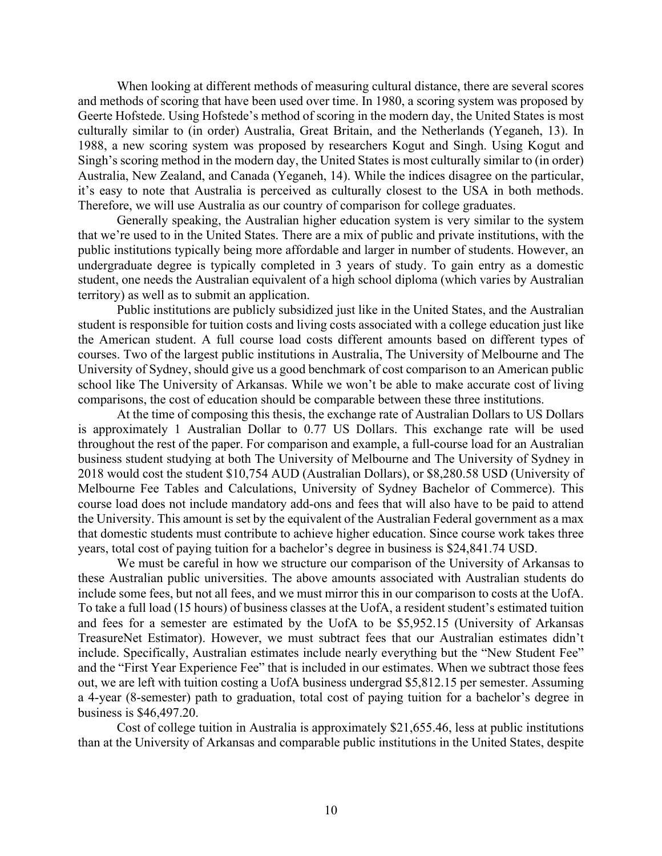When looking at different methods of measuring cultural distance, there are several scores and methods of scoring that have been used over time. In 1980, a scoring system was proposed by Geerte Hofstede. Using Hofstede's method of scoring in the modern day, the United States is most culturally similar to (in order) Australia, Great Britain, and the Netherlands (Yeganeh, 13). In 1988, a new scoring system was proposed by researchers Kogut and Singh. Using Kogut and Singh's scoring method in the modern day, the United States is most culturally similar to (in order) Australia, New Zealand, and Canada (Yeganeh, 14). While the indices disagree on the particular, it's easy to note that Australia is perceived as culturally closest to the USA in both methods. Therefore, we will use Australia as our country of comparison for college graduates.

Generally speaking, the Australian higher education system is very similar to the system that we're used to in the United States. There are a mix of public and private institutions, with the public institutions typically being more affordable and larger in number of students. However, an undergraduate degree is typically completed in 3 years of study. To gain entry as a domestic student, one needs the Australian equivalent of a high school diploma (which varies by Australian territory) as well as to submit an application.

Public institutions are publicly subsidized just like in the United States, and the Australian student is responsible for tuition costs and living costs associated with a college education just like the American student. A full course load costs different amounts based on different types of courses. Two of the largest public institutions in Australia, The University of Melbourne and The University of Sydney, should give us a good benchmark of cost comparison to an American public school like The University of Arkansas. While we won't be able to make accurate cost of living comparisons, the cost of education should be comparable between these three institutions.

At the time of composing this thesis, the exchange rate of Australian Dollars to US Dollars is approximately 1 Australian Dollar to 0.77 US Dollars. This exchange rate will be used throughout the rest of the paper. For comparison and example, a full-course load for an Australian business student studying at both The University of Melbourne and The University of Sydney in 2018 would cost the student \$10,754 AUD (Australian Dollars), or \$8,280.58 USD (University of Melbourne Fee Tables and Calculations, University of Sydney Bachelor of Commerce). This course load does not include mandatory add-ons and fees that will also have to be paid to attend the University. This amount is set by the equivalent of the Australian Federal government as a max that domestic students must contribute to achieve higher education. Since course work takes three years, total cost of paying tuition for a bachelor's degree in business is \$24,841.74 USD.

We must be careful in how we structure our comparison of the University of Arkansas to these Australian public universities. The above amounts associated with Australian students do include some fees, but not all fees, and we must mirror this in our comparison to costs at the UofA. To take a full load (15 hours) of business classes at the UofA, a resident student's estimated tuition and fees for a semester are estimated by the UofA to be \$5,952.15 (University of Arkansas TreasureNet Estimator). However, we must subtract fees that our Australian estimates didn't include. Specifically, Australian estimates include nearly everything but the "New Student Fee" and the "First Year Experience Fee" that is included in our estimates. When we subtract those fees out, we are left with tuition costing a UofA business undergrad \$5,812.15 per semester. Assuming a 4-year (8-semester) path to graduation, total cost of paying tuition for a bachelor's degree in business is \$46,497.20.

Cost of college tuition in Australia is approximately \$21,655.46, less at public institutions than at the University of Arkansas and comparable public institutions in the United States, despite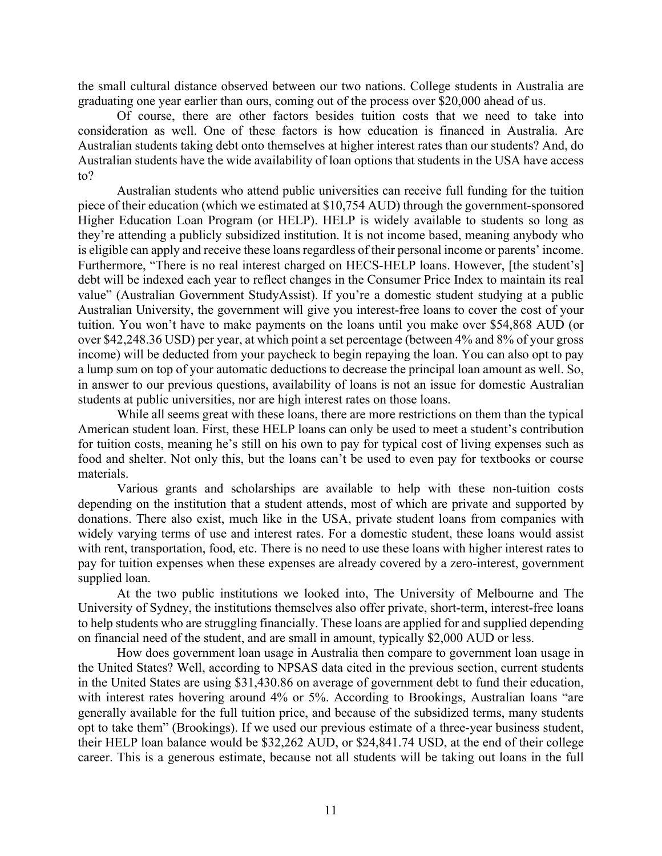the small cultural distance observed between our two nations. College students in Australia are graduating one year earlier than ours, coming out of the process over \$20,000 ahead of us.

Of course, there are other factors besides tuition costs that we need to take into consideration as well. One of these factors is how education is financed in Australia. Are Australian students taking debt onto themselves at higher interest rates than our students? And, do Australian students have the wide availability of loan options that students in the USA have access to?

Australian students who attend public universities can receive full funding for the tuition piece of their education (which we estimated at \$10,754 AUD) through the government-sponsored Higher Education Loan Program (or HELP). HELP is widely available to students so long as they're attending a publicly subsidized institution. It is not income based, meaning anybody who is eligible can apply and receive these loans regardless of their personal income or parents' income. Furthermore, "There is no real interest charged on HECS-HELP loans. However, [the student's] debt will be indexed each year to reflect changes in the Consumer Price Index to maintain its real value" (Australian Government StudyAssist). If you're a domestic student studying at a public Australian University, the government will give you interest-free loans to cover the cost of your tuition. You won't have to make payments on the loans until you make over \$54,868 AUD (or over \$42,248.36 USD) per year, at which point a set percentage (between 4% and 8% of your gross income) will be deducted from your paycheck to begin repaying the loan. You can also opt to pay a lump sum on top of your automatic deductions to decrease the principal loan amount as well. So, in answer to our previous questions, availability of loans is not an issue for domestic Australian students at public universities, nor are high interest rates on those loans.

While all seems great with these loans, there are more restrictions on them than the typical American student loan. First, these HELP loans can only be used to meet a student's contribution for tuition costs, meaning he's still on his own to pay for typical cost of living expenses such as food and shelter. Not only this, but the loans can't be used to even pay for textbooks or course materials.

Various grants and scholarships are available to help with these non-tuition costs depending on the institution that a student attends, most of which are private and supported by donations. There also exist, much like in the USA, private student loans from companies with widely varying terms of use and interest rates. For a domestic student, these loans would assist with rent, transportation, food, etc. There is no need to use these loans with higher interest rates to pay for tuition expenses when these expenses are already covered by a zero-interest, government supplied loan.

At the two public institutions we looked into, The University of Melbourne and The University of Sydney, the institutions themselves also offer private, short-term, interest-free loans to help students who are struggling financially. These loans are applied for and supplied depending on financial need of the student, and are small in amount, typically \$2,000 AUD or less.

How does government loan usage in Australia then compare to government loan usage in the United States? Well, according to NPSAS data cited in the previous section, current students in the United States are using \$31,430.86 on average of government debt to fund their education, with interest rates hovering around 4% or 5%. According to Brookings, Australian loans "are generally available for the full tuition price, and because of the subsidized terms, many students opt to take them" (Brookings). If we used our previous estimate of a three-year business student, their HELP loan balance would be \$32,262 AUD, or \$24,841.74 USD, at the end of their college career. This is a generous estimate, because not all students will be taking out loans in the full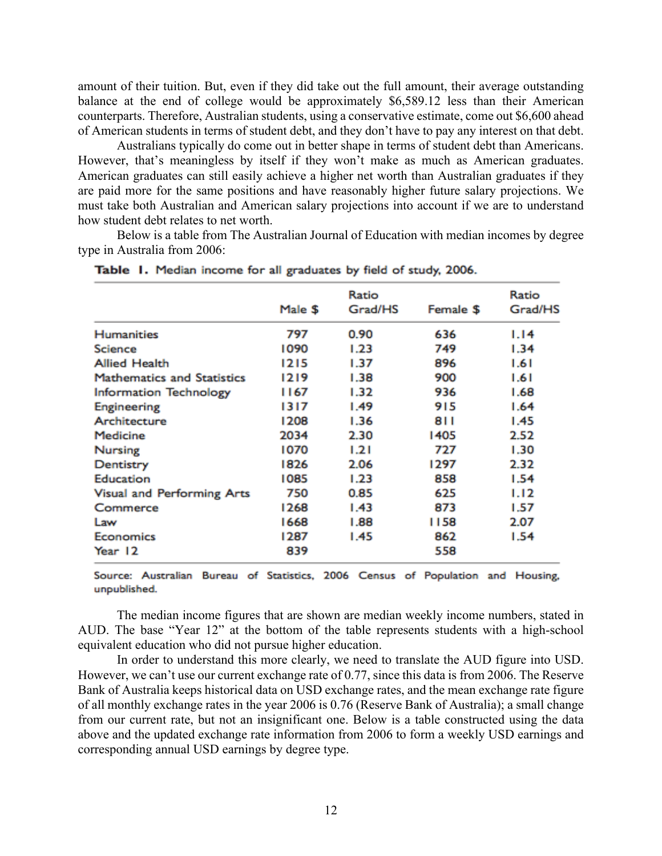amount of their tuition. But, even if they did take out the full amount, their average outstanding balance at the end of college would be approximately \$6,589.12 less than their American counterparts. Therefore, Australian students, using a conservative estimate, come out \$6,600 ahead of American students in terms of student debt, and they don't have to pay any interest on that debt.

Australians typically do come out in better shape in terms of student debt than Americans. However, that's meaningless by itself if they won't make as much as American graduates. American graduates can still easily achieve a higher net worth than Australian graduates if they are paid more for the same positions and have reasonably higher future salary projections. We must take both Australian and American salary projections into account if we are to understand how student debt relates to net worth.

Below is a table from The Australian Journal of Education with median incomes by degree type in Australia from 2006:

|                                   |         | Ratio   |           | Ratio   |
|-----------------------------------|---------|---------|-----------|---------|
|                                   | Male \$ | Grad/HS | Female \$ | Grad/HS |
| <b>Humanities</b>                 | 797     | 0.90    | 636       | 1.14    |
| <b>Science</b>                    | 1090    | 1.23    | 749       | 1.34    |
| <b>Allied Health</b>              | 1215    | 1.37    | 896       | 1.61    |
| <b>Mathematics and Statistics</b> | 1219    | 1.38    | 900       | 1.61    |
| <b>Information Technology</b>     | 1167    | 1.32    | 936       | 1.68    |
| Engineering                       | 1317    | 1.49    | 915       | 1.64    |
| Architecture                      | 1208    | 1.36    | 811       | 1.45    |
| Medicine                          | 2034    | 2.30    | 1405      | 2.52    |
| Nursing                           | 1070    | 1.21    | 727       | 1.30    |
| Dentistry                         | 1826    | 2.06    | 1297      | 2.32    |
| Education                         | 1085    | 1.23    | 858       | 1.54    |
| Visual and Performing Arts        | 750     | 0.85    | 625       | 1.12    |
| Commerce                          | 1268    | 1.43    | 873       | 1.57    |
| Law                               | 1668    | 1.88    | 1158      | 2.07    |
| Economics                         | 1287    | 1.45    | 862       | 1.54    |
| Year 12                           | 839     |         | 558       |         |

Table 1. Median income for all graduates by field of study, 2006.

Source: Australian Bureau of Statistics, 2006 Census of Population and Housing, unpublished.

The median income figures that are shown are median weekly income numbers, stated in AUD. The base "Year 12" at the bottom of the table represents students with a high-school equivalent education who did not pursue higher education.

In order to understand this more clearly, we need to translate the AUD figure into USD. However, we can't use our current exchange rate of 0.77, since this data is from 2006. The Reserve Bank of Australia keeps historical data on USD exchange rates, and the mean exchange rate figure of all monthly exchange rates in the year 2006 is 0.76 (Reserve Bank of Australia); a small change from our current rate, but not an insignificant one. Below is a table constructed using the data above and the updated exchange rate information from 2006 to form a weekly USD earnings and corresponding annual USD earnings by degree type.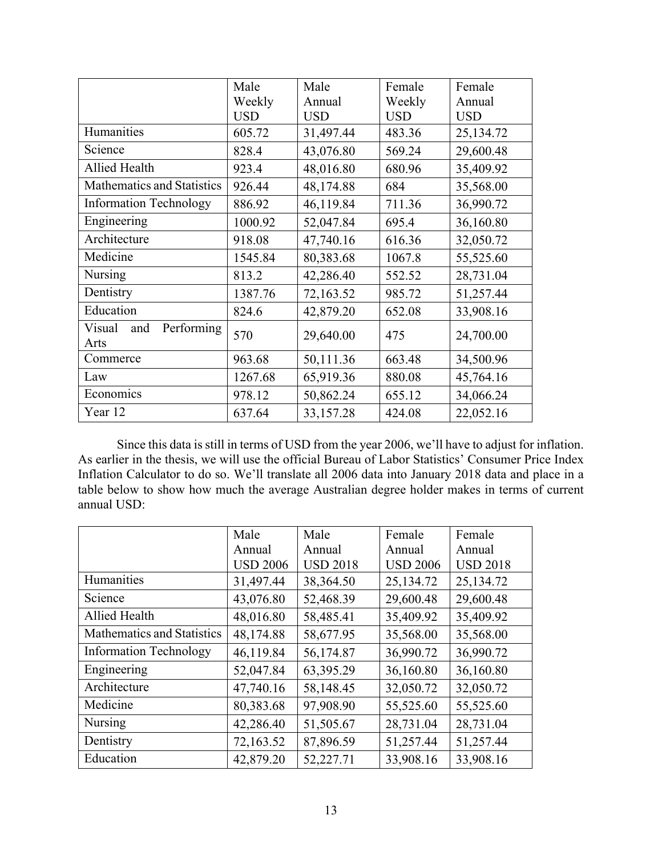|                                     | Male       | Male       | Female     | Female     |
|-------------------------------------|------------|------------|------------|------------|
|                                     | Weekly     | Annual     | Weekly     | Annual     |
|                                     | <b>USD</b> | <b>USD</b> | <b>USD</b> | <b>USD</b> |
| Humanities                          | 605.72     | 31,497.44  | 483.36     | 25,134.72  |
| Science                             | 828.4      | 43,076.80  | 569.24     | 29,600.48  |
| Allied Health                       | 923.4      | 48,016.80  | 680.96     | 35,409.92  |
| Mathematics and Statistics          | 926.44     | 48,174.88  | 684        | 35,568.00  |
| <b>Information Technology</b>       | 886.92     | 46,119.84  | 711.36     | 36,990.72  |
| Engineering                         | 1000.92    | 52,047.84  | 695.4      | 36,160.80  |
| Architecture                        | 918.08     | 47,740.16  | 616.36     | 32,050.72  |
| Medicine                            | 1545.84    | 80,383.68  | 1067.8     | 55,525.60  |
| <b>Nursing</b>                      | 813.2      | 42,286.40  | 552.52     | 28,731.04  |
| Dentistry                           | 1387.76    | 72,163.52  | 985.72     | 51,257.44  |
| Education                           | 824.6      | 42,879.20  | 652.08     | 33,908.16  |
| Performing<br>Visual<br>and<br>Arts | 570        | 29,640.00  | 475        | 24,700.00  |
| Commerce                            | 963.68     | 50,111.36  | 663.48     | 34,500.96  |
| Law                                 | 1267.68    | 65,919.36  | 880.08     | 45,764.16  |
| Economics                           | 978.12     | 50,862.24  | 655.12     | 34,066.24  |
| Year 12                             | 637.64     | 33,157.28  | 424.08     | 22,052.16  |

Since this data is still in terms of USD from the year 2006, we'll have to adjust for inflation. As earlier in the thesis, we will use the official Bureau of Labor Statistics' Consumer Price Index Inflation Calculator to do so. We'll translate all 2006 data into January 2018 data and place in a table below to show how much the average Australian degree holder makes in terms of current annual USD:

|                               | Male            | Male            | Female          | Female          |
|-------------------------------|-----------------|-----------------|-----------------|-----------------|
|                               | Annual          | Annual          | Annual          | Annual          |
|                               | <b>USD 2006</b> | <b>USD 2018</b> | <b>USD 2006</b> | <b>USD 2018</b> |
| Humanities                    | 31,497.44       | 38,364.50       | 25,134.72       | 25,134.72       |
| Science                       | 43,076.80       | 52,468.39       | 29,600.48       | 29,600.48       |
| Allied Health                 | 48,016.80       | 58,485.41       | 35,409.92       | 35,409.92       |
| Mathematics and Statistics    | 48,174.88       | 58,677.95       | 35,568.00       | 35,568.00       |
| <b>Information Technology</b> | 46,119.84       | 56,174.87       | 36,990.72       | 36,990.72       |
| Engineering                   | 52,047.84       | 63,395.29       | 36,160.80       | 36,160.80       |
| Architecture                  | 47,740.16       | 58,148.45       | 32,050.72       | 32,050.72       |
| Medicine                      | 80,383.68       | 97,908.90       | 55,525.60       | 55,525.60       |
| <b>Nursing</b>                | 42,286.40       | 51,505.67       | 28,731.04       | 28,731.04       |
| Dentistry                     | 72,163.52       | 87,896.59       | 51,257.44       | 51,257.44       |
| Education                     | 42,879.20       | 52,227.71       | 33,908.16       | 33,908.16       |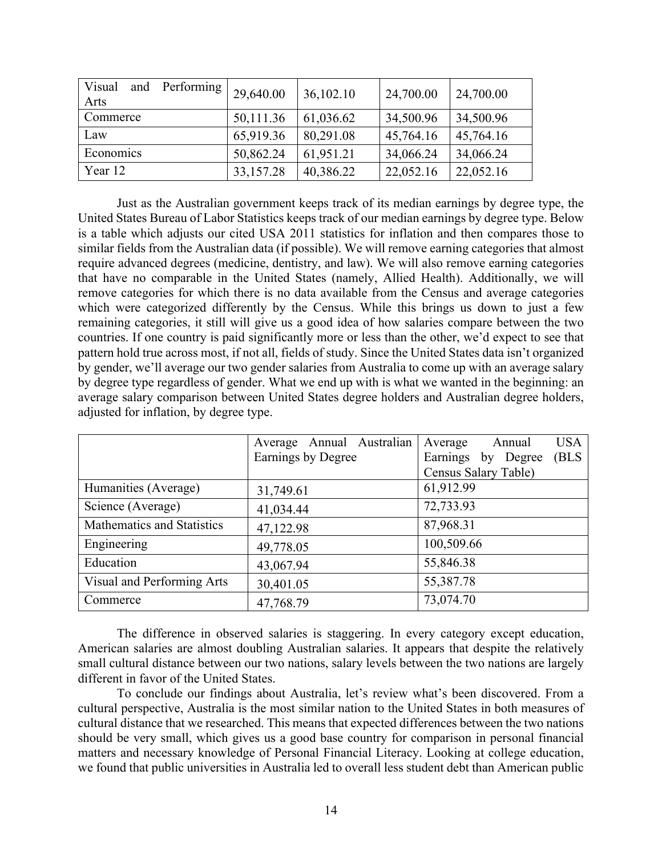| Visual<br>Performing<br>and<br>Arts | 29,640.00 | 36,102.10 | 24,700.00 | 24,700.00 |
|-------------------------------------|-----------|-----------|-----------|-----------|
| Commerce                            | 50,111.36 | 61,036.62 | 34,500.96 | 34,500.96 |
| Law                                 | 65,919.36 | 80,291.08 | 45,764.16 | 45,764.16 |
| Economics                           | 50,862.24 | 61,951.21 | 34,066.24 | 34,066.24 |
| Year 12                             | 33,157.28 | 40,386.22 | 22,052.16 | 22,052.16 |

Just as the Australian government keeps track of its median earnings by degree type, the United States Bureau of Labor Statistics keeps track of our median earnings by degree type. Below is a table which adjusts our cited USA 2011 statistics for inflation and then compares those to similar fields from the Australian data (if possible). We will remove earning categories that almost require advanced degrees (medicine, dentistry, and law). We will also remove earning categories that have no comparable in the United States (namely, Allied Health). Additionally, we will remove categories for which there is no data available from the Census and average categories which were categorized differently by the Census. While this brings us down to just a few remaining categories, it still will give us a good idea of how salaries compare between the two countries. If one country is paid significantly more or less than the other, we'd expect to see that pattern hold true across most, if not all, fields of study. Since the United States data isn't organized by gender, we'll average our two gender salaries from Australia to come up with an average salary by degree type regardless of gender. What we end up with is what we wanted in the beginning: an average salary comparison between United States degree holders and Australian degree holders, adjusted for inflation, by degree type.

|                            | Average Annual Australian | <b>USA</b><br>Annual<br>Average |
|----------------------------|---------------------------|---------------------------------|
|                            | Earnings by Degree        | (BLS<br>Earnings<br>by Degree   |
|                            |                           | Census Salary Table)            |
| Humanities (Average)       | 31,749.61                 | 61,912.99                       |
| Science (Average)          | 41,034.44                 | 72,733.93                       |
| Mathematics and Statistics | 47,122.98                 | 87,968.31                       |
| Engineering                | 49,778.05                 | 100,509.66                      |
| Education                  | 43,067.94                 | 55,846.38                       |
| Visual and Performing Arts | 30,401.05                 | 55,387.78                       |
| Commerce                   | 47,768.79                 | 73,074.70                       |

The difference in observed salaries is staggering. In every category except education, American salaries are almost doubling Australian salaries. It appears that despite the relatively small cultural distance between our two nations, salary levels between the two nations are largely different in favor of the United States.

To conclude our findings about Australia, let's review what's been discovered. From a cultural perspective, Australia is the most similar nation to the United States in both measures of cultural distance that we researched. This means that expected differences between the two nations should be very small, which gives us a good base country for comparison in personal financial matters and necessary knowledge of Personal Financial Literacy. Looking at college education, we found that public universities in Australia led to overall less student debt than American public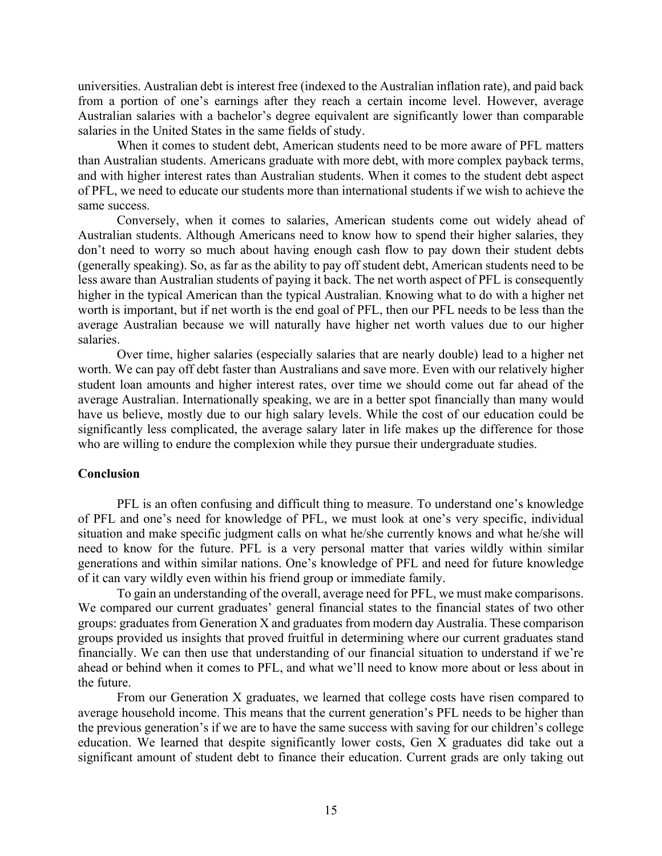universities. Australian debt is interest free (indexed to the Australian inflation rate), and paid back from a portion of one's earnings after they reach a certain income level. However, average Australian salaries with a bachelor's degree equivalent are significantly lower than comparable salaries in the United States in the same fields of study.

When it comes to student debt, American students need to be more aware of PFL matters than Australian students. Americans graduate with more debt, with more complex payback terms, and with higher interest rates than Australian students. When it comes to the student debt aspect of PFL, we need to educate our students more than international students if we wish to achieve the same success.

Conversely, when it comes to salaries, American students come out widely ahead of Australian students. Although Americans need to know how to spend their higher salaries, they don't need to worry so much about having enough cash flow to pay down their student debts (generally speaking). So, as far as the ability to pay off student debt, American students need to be less aware than Australian students of paying it back. The net worth aspect of PFL is consequently higher in the typical American than the typical Australian. Knowing what to do with a higher net worth is important, but if net worth is the end goal of PFL, then our PFL needs to be less than the average Australian because we will naturally have higher net worth values due to our higher salaries.

Over time, higher salaries (especially salaries that are nearly double) lead to a higher net worth. We can pay off debt faster than Australians and save more. Even with our relatively higher student loan amounts and higher interest rates, over time we should come out far ahead of the average Australian. Internationally speaking, we are in a better spot financially than many would have us believe, mostly due to our high salary levels. While the cost of our education could be significantly less complicated, the average salary later in life makes up the difference for those who are willing to endure the complexion while they pursue their undergraduate studies.

#### **Conclusion**

PFL is an often confusing and difficult thing to measure. To understand one's knowledge of PFL and one's need for knowledge of PFL, we must look at one's very specific, individual situation and make specific judgment calls on what he/she currently knows and what he/she will need to know for the future. PFL is a very personal matter that varies wildly within similar generations and within similar nations. One's knowledge of PFL and need for future knowledge of it can vary wildly even within his friend group or immediate family.

To gain an understanding of the overall, average need for PFL, we must make comparisons. We compared our current graduates' general financial states to the financial states of two other groups: graduates from Generation X and graduates from modern day Australia. These comparison groups provided us insights that proved fruitful in determining where our current graduates stand financially. We can then use that understanding of our financial situation to understand if we're ahead or behind when it comes to PFL, and what we'll need to know more about or less about in the future.

From our Generation X graduates, we learned that college costs have risen compared to average household income. This means that the current generation's PFL needs to be higher than the previous generation's if we are to have the same success with saving for our children's college education. We learned that despite significantly lower costs, Gen X graduates did take out a significant amount of student debt to finance their education. Current grads are only taking out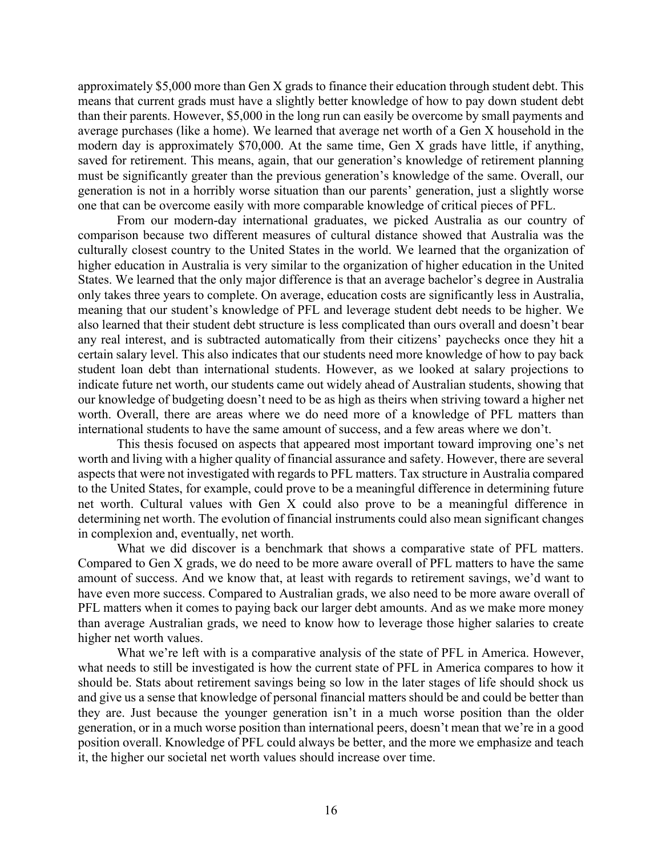approximately \$5,000 more than Gen X grads to finance their education through student debt. This means that current grads must have a slightly better knowledge of how to pay down student debt than their parents. However, \$5,000 in the long run can easily be overcome by small payments and average purchases (like a home). We learned that average net worth of a Gen X household in the modern day is approximately \$70,000. At the same time, Gen X grads have little, if anything, saved for retirement. This means, again, that our generation's knowledge of retirement planning must be significantly greater than the previous generation's knowledge of the same. Overall, our generation is not in a horribly worse situation than our parents' generation, just a slightly worse one that can be overcome easily with more comparable knowledge of critical pieces of PFL.

From our modern-day international graduates, we picked Australia as our country of comparison because two different measures of cultural distance showed that Australia was the culturally closest country to the United States in the world. We learned that the organization of higher education in Australia is very similar to the organization of higher education in the United States. We learned that the only major difference is that an average bachelor's degree in Australia only takes three years to complete. On average, education costs are significantly less in Australia, meaning that our student's knowledge of PFL and leverage student debt needs to be higher. We also learned that their student debt structure is less complicated than ours overall and doesn't bear any real interest, and is subtracted automatically from their citizens' paychecks once they hit a certain salary level. This also indicates that our students need more knowledge of how to pay back student loan debt than international students. However, as we looked at salary projections to indicate future net worth, our students came out widely ahead of Australian students, showing that our knowledge of budgeting doesn't need to be as high as theirs when striving toward a higher net worth. Overall, there are areas where we do need more of a knowledge of PFL matters than international students to have the same amount of success, and a few areas where we don't.

This thesis focused on aspects that appeared most important toward improving one's net worth and living with a higher quality of financial assurance and safety. However, there are several aspects that were not investigated with regards to PFL matters. Tax structure in Australia compared to the United States, for example, could prove to be a meaningful difference in determining future net worth. Cultural values with Gen X could also prove to be a meaningful difference in determining net worth. The evolution of financial instruments could also mean significant changes in complexion and, eventually, net worth.

What we did discover is a benchmark that shows a comparative state of PFL matters. Compared to Gen X grads, we do need to be more aware overall of PFL matters to have the same amount of success. And we know that, at least with regards to retirement savings, we'd want to have even more success. Compared to Australian grads, we also need to be more aware overall of PFL matters when it comes to paying back our larger debt amounts. And as we make more money than average Australian grads, we need to know how to leverage those higher salaries to create higher net worth values.

What we're left with is a comparative analysis of the state of PFL in America. However, what needs to still be investigated is how the current state of PFL in America compares to how it should be. Stats about retirement savings being so low in the later stages of life should shock us and give us a sense that knowledge of personal financial matters should be and could be better than they are. Just because the younger generation isn't in a much worse position than the older generation, or in a much worse position than international peers, doesn't mean that we're in a good position overall. Knowledge of PFL could always be better, and the more we emphasize and teach it, the higher our societal net worth values should increase over time.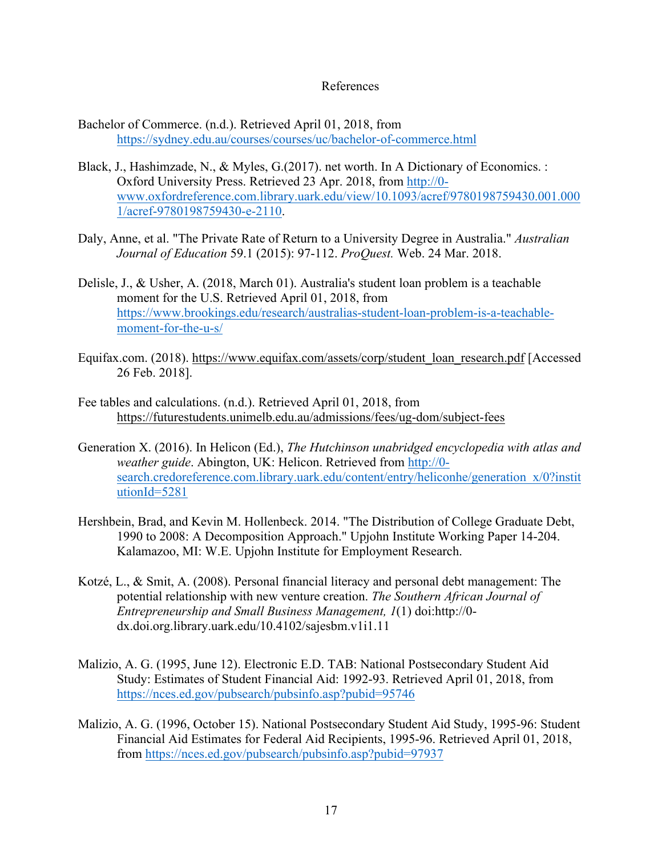#### References

- Bachelor of Commerce. (n.d.). Retrieved April 01, 2018, from https://sydney.edu.au/courses/courses/uc/bachelor-of-commerce.html
- Black, J., Hashimzade, N., & Myles, G.(2017). net worth. In A Dictionary of Economics. : Oxford University Press. Retrieved 23 Apr. 2018, from http://0 www.oxfordreference.com.library.uark.edu/view/10.1093/acref/9780198759430.001.000 1/acref-9780198759430-e-2110.
- Daly, Anne, et al. "The Private Rate of Return to a University Degree in Australia." *Australian Journal of Education* 59.1 (2015): 97-112. *ProQuest.* Web. 24 Mar. 2018.
- Delisle, J., & Usher, A. (2018, March 01). Australia's student loan problem is a teachable moment for the U.S. Retrieved April 01, 2018, from https://www.brookings.edu/research/australias-student-loan-problem-is-a-teachablemoment-for-the-u-s/
- Equifax.com. (2018). https://www.equifax.com/assets/corp/student\_loan\_research.pdf [Accessed 26 Feb. 2018].
- Fee tables and calculations. (n.d.). Retrieved April 01, 2018, from https://futurestudents.unimelb.edu.au/admissions/fees/ug-dom/subject-fees
- Generation X. (2016). In Helicon (Ed.), *The Hutchinson unabridged encyclopedia with atlas and weather guide*. Abington, UK: Helicon. Retrieved from http://0 search.credoreference.com.library.uark.edu/content/entry/heliconhe/generation  $x/0$ ?instit utionId=5281
- Hershbein, Brad, and Kevin M. Hollenbeck. 2014. "The Distribution of College Graduate Debt, 1990 to 2008: A Decomposition Approach." Upjohn Institute Working Paper 14-204. Kalamazoo, MI: W.E. Upjohn Institute for Employment Research.
- Kotzé, L., & Smit, A. (2008). Personal financial literacy and personal debt management: The potential relationship with new venture creation. *The Southern African Journal of Entrepreneurship and Small Business Management, 1*(1) doi:http://0 dx.doi.org.library.uark.edu/10.4102/sajesbm.v1i1.11
- Malizio, A. G. (1995, June 12). Electronic E.D. TAB: National Postsecondary Student Aid Study: Estimates of Student Financial Aid: 1992-93. Retrieved April 01, 2018, from https://nces.ed.gov/pubsearch/pubsinfo.asp?pubid=95746
- Malizio, A. G. (1996, October 15). National Postsecondary Student Aid Study, 1995-96: Student Financial Aid Estimates for Federal Aid Recipients, 1995-96. Retrieved April 01, 2018, from https://nces.ed.gov/pubsearch/pubsinfo.asp?pubid=97937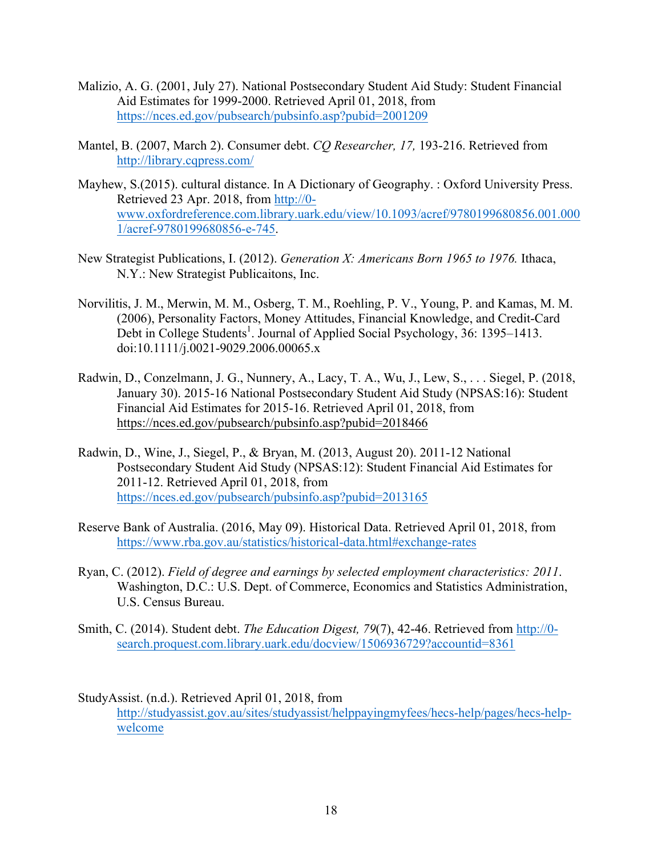- Malizio, A. G. (2001, July 27). National Postsecondary Student Aid Study: Student Financial Aid Estimates for 1999-2000. Retrieved April 01, 2018, from https://nces.ed.gov/pubsearch/pubsinfo.asp?pubid=2001209
- Mantel, B. (2007, March 2). Consumer debt. *CQ Researcher, 17,* 193-216. Retrieved from http://library.cqpress.com/
- Mayhew, S.(2015). cultural distance. In A Dictionary of Geography. : Oxford University Press. Retrieved 23 Apr. 2018, from http://0 www.oxfordreference.com.library.uark.edu/view/10.1093/acref/9780199680856.001.000 1/acref-9780199680856-e-745.
- New Strategist Publications, I. (2012). *Generation X: Americans Born 1965 to 1976.* Ithaca, N.Y.: New Strategist Publicaitons, Inc.
- Norvilitis, J. M., Merwin, M. M., Osberg, T. M., Roehling, P. V., Young, P. and Kamas, M. M. (2006), Personality Factors, Money Attitudes, Financial Knowledge, and Credit-Card Debt in College Students<sup>1</sup>. Journal of Applied Social Psychology, 36: 1395–1413. doi:10.1111/j.0021-9029.2006.00065.x
- Radwin, D., Conzelmann, J. G., Nunnery, A., Lacy, T. A., Wu, J., Lew, S., . . . Siegel, P. (2018, January 30). 2015-16 National Postsecondary Student Aid Study (NPSAS:16): Student Financial Aid Estimates for 2015-16. Retrieved April 01, 2018, from https://nces.ed.gov/pubsearch/pubsinfo.asp?pubid=2018466
- Radwin, D., Wine, J., Siegel, P., & Bryan, M. (2013, August 20). 2011-12 National Postsecondary Student Aid Study (NPSAS:12): Student Financial Aid Estimates for 2011-12. Retrieved April 01, 2018, from https://nces.ed.gov/pubsearch/pubsinfo.asp?pubid=2013165
- Reserve Bank of Australia. (2016, May 09). Historical Data. Retrieved April 01, 2018, from https://www.rba.gov.au/statistics/historical-data.html#exchange-rates
- Ryan, C. (2012). *Field of degree and earnings by selected employment characteristics: 2011*. Washington, D.C.: U.S. Dept. of Commerce, Economics and Statistics Administration, U.S. Census Bureau.
- Smith, C. (2014). Student debt. *The Education Digest, 79*(7), 42-46. Retrieved from http://0 search.proquest.com.library.uark.edu/docview/1506936729?accountid=8361
- StudyAssist. (n.d.). Retrieved April 01, 2018, from http://studyassist.gov.au/sites/studyassist/helppayingmyfees/hecs-help/pages/hecs-helpwelcome